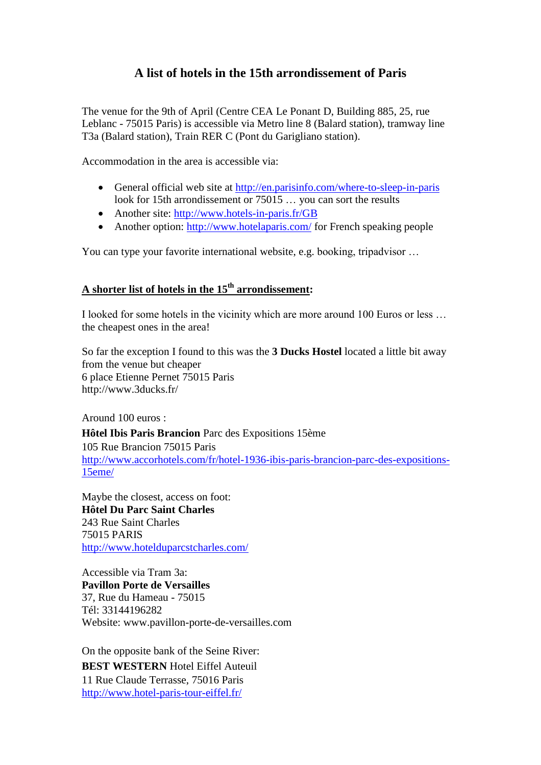## **A list of hotels in the 15th arrondissement of Paris**

The venue for the 9th of April (Centre CEA Le Ponant D, Building 885, 25, rue Leblanc - 75015 Paris) is accessible via Metro line 8 (Balard station), tramway line T3a (Balard station), Train RER C (Pont du Garigliano station).

Accommodation in the area is accessible via:

- General official web site at<http://en.parisinfo.com/where-to-sleep-in-paris> look for 15th arrondissement or 75015 … you can sort the results
- Another site:<http://www.hotels-in-paris.fr/GB>
- Another option:<http://www.hotelaparis.com/> for French speaking people

You can type your favorite international website, e.g. booking, tripadvisor …

## **A shorter list of hotels in the 15 th arrondissement:**

I looked for some hotels in the vicinity which are more around 100 Euros or less … the cheapest ones in the area!

So far the exception I found to this was the **3 Ducks Hostel** located a little bit away from the venue but cheaper 6 place Etienne Pernet 75015 Paris http://www.3ducks.fr/

Around 100 euros :

**Hôtel Ibis Paris Brancion** Parc des Expositions 15ème

105 Rue Brancion 75015 Paris [http://www.accorhotels.com/fr/hotel-1936-ibis-paris-brancion-parc-des-expositions-](http://www.accorhotels.com/fr/hotel-1936-ibis-paris-brancion-parc-des-expositions-15eme/)[15eme/](http://www.accorhotels.com/fr/hotel-1936-ibis-paris-brancion-parc-des-expositions-15eme/)

Maybe the closest, access on foot: **Hôtel Du Parc Saint Charles** 243 Rue Saint Charles 75015 PARIS <http://www.hotelduparcstcharles.com/>

Accessible via Tram 3a: **[Pavillon Porte de Versailles](http://resa.wellbooked.fr/FRONT/index#HotelDesc-11)** 37, Rue du Hameau - 75015 Tél: 33144196282 Website: [www.pavillon-porte-de-versailles.com](http://www.pavillon-porte-de-versailles.com/)

On the opposite bank of the Seine River: **BEST WESTERN** Hotel Eiffel Auteuil 11 Rue Claude Terrasse, 75016 Paris <http://www.hotel-paris-tour-eiffel.fr/>